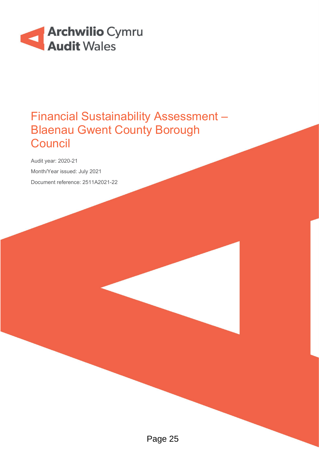

# Financial Sustainability Assessment – Blaenau Gwent County Borough **Council**

Audit year: 2020-21 Month/Year issued: July 2021 Document reference: 2511A2021-22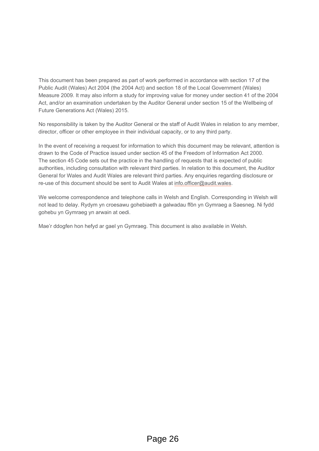This document has been prepared as part of work performed in accordance with section 17 of the Public Audit (Wales) Act 2004 (the 2004 Act) and section 18 of the Local Government (Wales) Measure 2009. It may also inform a study for improving value for money under section 41 of the 2004 Act, and/or an examination undertaken by the Auditor General under section 15 of the Wellbeing of Future Generations Act (Wales) 2015.

No responsibility is taken by the Auditor General or the staff of Audit Wales in relation to any member, director, officer or other employee in their individual capacity, or to any third party.

In the event of receiving a request for information to which this document may be relevant, attention is drawn to the Code of Practice issued under section 45 of the Freedom of Information Act 2000. The section 45 Code sets out the practice in the handling of requests that is expected of public authorities, including consultation with relevant third parties. In relation to this document, the Auditor General for Wales and Audit Wales are relevant third parties. Any enquiries regarding disclosure or re-use of this document should be sent to Audit Wales at [info.officer@audit.wales.](mailto:info.officer@audit.wales)

We welcome correspondence and telephone calls in Welsh and English. Corresponding in Welsh will not lead to delay. Rydym yn croesawu gohebiaeth a galwadau ffôn yn Gymraeg a Saesneg. Ni fydd gohebu yn Gymraeg yn arwain at oedi.

Mae'r ddogfen hon hefyd ar gael yn Gymraeg. This document is also available in Welsh.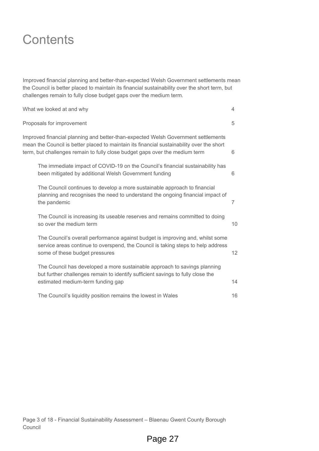# **Contents**

Improved financial planning and better-than-expected Welsh Government settlements mean the Council is better placed to maintain its financial sustainability over the short term, but challenges remain to fully close budget gaps over the medium term.

| What we looked at and why                                                                                                                                                                                                                                     |                 |  |  |  |
|---------------------------------------------------------------------------------------------------------------------------------------------------------------------------------------------------------------------------------------------------------------|-----------------|--|--|--|
| Proposals for improvement                                                                                                                                                                                                                                     |                 |  |  |  |
| Improved financial planning and better-than-expected Welsh Government settlements<br>mean the Council is better placed to maintain its financial sustainability over the short<br>term, but challenges remain to fully close budget gaps over the medium term | 6               |  |  |  |
| The immediate impact of COVID-19 on the Council's financial sustainability has<br>been mitigated by additional Welsh Government funding                                                                                                                       | 6               |  |  |  |
| The Council continues to develop a more sustainable approach to financial<br>planning and recognises the need to understand the ongoing financial impact of<br>the pandemic                                                                                   | 7               |  |  |  |
| The Council is increasing its useable reserves and remains committed to doing<br>so over the medium term                                                                                                                                                      | 10              |  |  |  |
| The Council's overall performance against budget is improving and, whilst some<br>service areas continue to overspend, the Council is taking steps to help address<br>some of these budget pressures                                                          | 12 <sup>2</sup> |  |  |  |
| The Council has developed a more sustainable approach to savings planning<br>but further challenges remain to identify sufficient savings to fully close the<br>estimated medium-term funding gap                                                             | 14              |  |  |  |
| The Council's liquidity position remains the lowest in Wales                                                                                                                                                                                                  | 16              |  |  |  |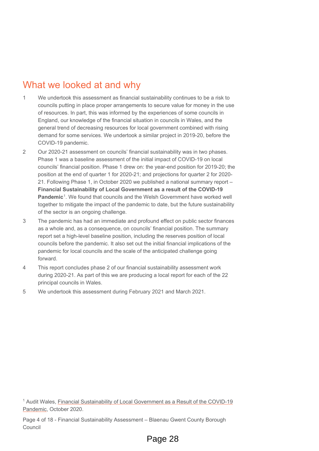## What we looked at and why

- 1 We undertook this assessment as financial sustainability continues to be a risk to councils putting in place proper arrangements to secure value for money in the use of resources. In part, this was informed by the experiences of some councils in England, our knowledge of the financial situation in councils in Wales, and the general trend of decreasing resources for local government combined with rising demand for some services. We undertook a similar project in 2019-20, before the COVID-19 pandemic.
- 2 Our 2020-21 assessment on councils' financial sustainability was in two phases. Phase 1 was a baseline assessment of the initial impact of COVID-19 on local councils' financial position. Phase 1 drew on: the year-end position for 2019-20; the position at the end of quarter 1 for 2020-21; and projections for quarter 2 for 2020- 21. Following Phase 1, in October 2020 we published a national summary report – **Financial Sustainability of Local Government as a result of the COVID-19 Pandemic**<sup>[1](#page-3-0)</sup>. We found that councils and the Welsh Government have worked well together to mitigate the impact of the pandemic to date, but the future sustainability of the sector is an ongoing challenge.
- 3 The pandemic has had an immediate and profound effect on public sector finances as a whole and, as a consequence, on councils' financial position. The summary report set a high-level baseline position, including the reserves position of local councils before the pandemic. It also set out the initial financial implications of the pandemic for local councils and the scale of the anticipated challenge going forward.
- 4 This report concludes phase 2 of our financial sustainability assessment work during 2020-21. As part of this we are producing a local report for each of the 22 principal councils in Wales.
- 5 We undertook this assessment during February 2021 and March 2021.

<span id="page-3-0"></span><sup>1</sup> Audit Wales, [Financial Sustainability of Local Government as a Result of the COVID-19](https://www.audit.wales/sites/default/files/2020-11/Financial%20Sustainability%20of%20LG-english.pdf)  [Pandemic,](https://www.audit.wales/sites/default/files/2020-11/Financial%20Sustainability%20of%20LG-english.pdf) October 2020.

Page 4 of 18 - Financial Sustainability Assessment – Blaenau Gwent County Borough Council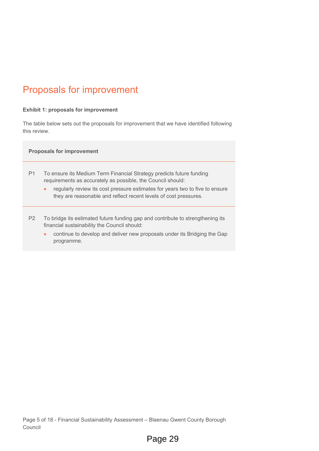# Proposals for improvement

#### **Exhibit 1: proposals for improvement**

The table below sets out the proposals for improvement that we have identified following this review.

#### **Proposals for improvement**

- P1 To ensure its Medium Term Financial Strategy predicts future funding requirements as accurately as possible, the Council should:
	- regularly review its cost pressure estimates for years two to five to ensure they are reasonable and reflect recent levels of cost pressures.
- P2 To bridge its estimated future funding gap and contribute to strengthening its financial sustainability the Council should:
	- continue to develop and deliver new proposals under its Bridging the Gap programme.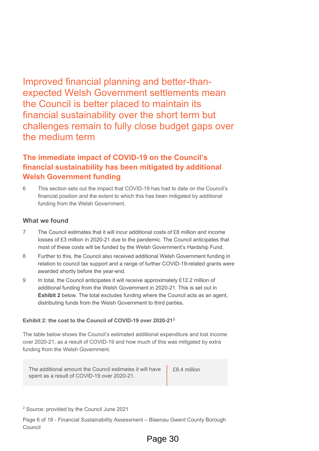Improved financial planning and better-thanexpected Welsh Government settlements mean the Council is better placed to maintain its financial sustainability over the short term but challenges remain to fully close budget gaps over the medium term

### **The immediate impact of COVID-19 on the Council's financial sustainability has been mitigated by additional Welsh Government funding**

6 This section sets out the impact that COVID-19 has had to date on the Council's financial position and the extent to which this has been mitigated by additional funding from the Welsh Government.

#### **What we found**

- 7 The Council estimates that it will incur additional costs of £8 million and income losses of £3 million in 2020-21 due to the pandemic. The Council anticipates that most of these costs will be funded by the Welsh Government's Hardship Fund.
- 8 Further to this, the Council also received additional Welsh Government funding in relation to council tax support and a range of further COVID-19-related grants were awarded shortly before the year-end.
- 9 In total, the Council anticipates it will receive approximately £12.2 million of additional funding from the Welsh Government in 2020-21. This is set out in **Exhibit 2** below. The total excludes funding where the Council acts as an agent, distributing funds from the Welsh Government to third parties.

#### **Exhibit 2: the cost to the Council of COVID-19 over 2020-21[2](#page-5-0)**

The table below shows the Council's estimated additional expenditure and lost income over 2020-21, as a result of COVID-19 and how much of this was mitigated by extra funding from the Welsh Government.

The additional amount the Council estimates it will have spent as a result of COVID-19 over 2020-21. £8.4 million

<span id="page-5-0"></span><sup>2</sup> Source: provided by the Council June 2021

Page 6 of 18 - Financial Sustainability Assessment – Blaenau Gwent County Borough Council

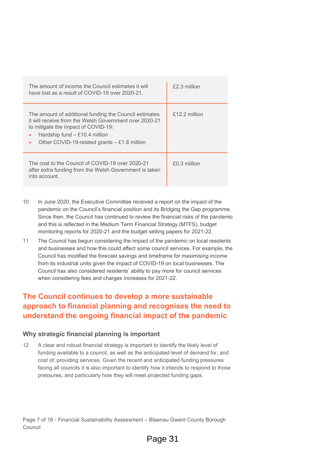| The amount of income the Council estimates it will<br>have lost as a result of COVID-19 over 2020-21.                                                                                                                                           | £2.3 million  |
|-------------------------------------------------------------------------------------------------------------------------------------------------------------------------------------------------------------------------------------------------|---------------|
| The amount of additional funding the Council estimates<br>it will receive from the Welsh Government over 2020-21<br>to mitigate the impact of COVID-19:<br>Hardship fund - £10.4 million<br>۰<br>Other COVID-19-related grants $- £1.8$ million | £12.2 million |
| The cost to the Council of COVID-19 over 2020-21<br>after extra funding from the Welsh Government is taken<br>into account.                                                                                                                     | £0.3 million  |

- 10 In June 2020, the Executive Committee received a report on the impact of the pandemic on the Council's financial position and its Bridging the Gap programme. Since then, the Council has continued to review the financial risks of the pandemic and this is reflected in the Medium Term Financial Strategy (MTFS), budget monitoring reports for 2020-21 and the budget setting papers for 2021-22.
- 11 The Council has begun considering the impact of the pandemic on local residents and businesses and how this could affect some council services. For example, the Council has modified the forecast savings and timeframe for maximising income from its industrial units given the impact of COVID-19 on local businesses. The Council has also considered residents' ability to pay more for council services when considering fees and charges increases for 2021-22.

### **The Council continues to develop a more sustainable approach to financial planning and recognises the need to understand the ongoing financial impact of the pandemic**

#### **Why strategic financial planning is important**

12 A clear and robust financial strategy is important to identify the likely level of funding available to a council, as well as the anticipated level of demand for, and cost of, providing services. Given the recent and anticipated funding pressures facing all councils it is also important to identify how it intends to respond to those pressures, and particularly how they will meet projected funding gaps.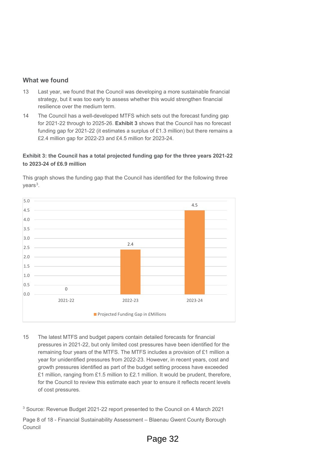#### **What we found**

- 13 Last year, we found that the Council was developing a more sustainable financial strategy, but it was too early to assess whether this would strengthen financial resilience over the medium term.
- 14 The Council has a well-developed MTFS which sets out the forecast funding gap for 2021-22 through to 2025-26. **Exhibit 3** shows that the Council has no forecast funding gap for 2021-22 (it estimates a surplus of £1.3 million) but there remains a £2.4 million gap for 2022-23 and £4.5 million for 2023-24.

#### **Exhibit 3: the Council has a total projected funding gap for the three years 2021-22 to 2023-24 of £6.9 million**



This graph shows the funding gap that the Council has identified for the following three  $vears<sup>3</sup>$  $vears<sup>3</sup>$  $vears<sup>3</sup>$ .

15 The latest MTFS and budget papers contain detailed forecasts for financial pressures in 2021-22, but only limited cost pressures have been identified for the remaining four years of the MTFS. The MTFS includes a provision of £1 million a year for unidentified pressures from 2022-23. However, in recent years, cost and growth pressures identified as part of the budget setting process have exceeded £1 million, ranging from £1.5 million to £2.1 million. It would be prudent, therefore, for the Council to review this estimate each year to ensure it reflects recent levels of cost pressures.

<span id="page-7-0"></span><sup>3</sup> Source: Revenue Budget 2021-22 report presented to the Council on 4 March 2021

Page 8 of 18 - Financial Sustainability Assessment – Blaenau Gwent County Borough Council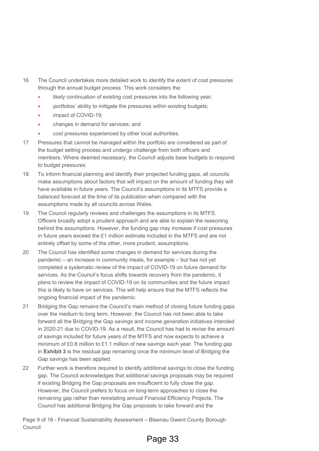- 16 The Council undertakes more detailed work to identify the extent of cost pressures through the annual budget process. This work considers the:
	- likely continuation of existing cost pressures into the following year;
	- portfolios' ability to mitigate the pressures within existing budgets;
	- impact of COVID-19:
	- changes in demand for services; and
	- cost pressures experienced by other local authorities.
- 17 Pressures that cannot be managed within the portfolio are considered as part of the budget setting process and undergo challenge from both officers and members. Where deemed necessary, the Council adjusts base budgets to respond to budget pressures.
- 18 To inform financial planning and identify their projected funding gaps, all councils make assumptions about factors that will impact on the amount of funding they will have available in future years. The Council's assumptions in its MTFS provide a balanced forecast at the time of its publication when compared with the assumptions made by all councils across Wales.
- 19 The Council regularly reviews and challenges the assumptions in its MTFS. Officers broadly adopt a prudent approach and are able to explain the reasoning behind the assumptions. However, the funding gap may increase if cost pressures in future years exceed the £1 million estimate included in the MTFS and are not entirely offset by some of the other, more prudent, assumptions.
- 20 The Council has identified some changes in demand for services during the pandemic – an increase in community meals, for example – but has not yet completed a systematic review of the impact of COVID-19 on future demand for services. As the Council's focus shifts towards recovery from the pandemic, it plans to review the impact of COVID-19 on its communities and the future impact this is likely to have on services. This will help ensure that the MTFS reflects the ongoing financial impact of the pandemic.
- 21 Bridging the Gap remains the Council's main method of closing future funding gaps over the medium to long term. However, the Council has not been able to take forward all the Bridging the Gap savings and income generation initiatives intended in 2020-21 due to COVID-19. As a result, the Council has had to revise the amount of savings included for future years of the MTFS and now expects to achieve a minimum of £0.8 million to £1.1 million of new savings each year. The funding gap in **Exhibit 3** is the residual gap remaining once the minimum level of Bridging the Gap savings has been applied.
- 22 Further work is therefore required to identify additional savings to close the funding gap. The Council acknowledges that additional savings proposals may be required if existing Bridging the Gap proposals are insufficient to fully close the gap. However, the Council prefers to focus on long-term approaches to close the remaining gap rather than reinstating annual Financial Efficiency Projects. The Council has additional Bridging the Gap proposals to take forward and the

Page 9 of 18 - Financial Sustainability Assessment – Blaenau Gwent County Borough Council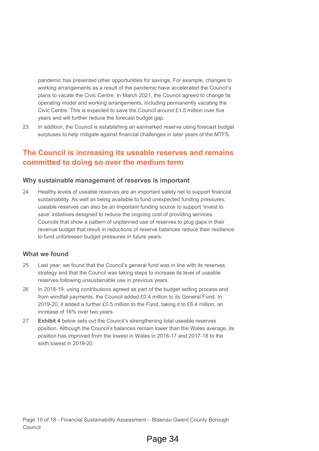pandemic has presented other opportunities for savings. For example, changes to working arrangements as a result of the pandemic have accelerated the Council's plans to vacate the Civic Centre. In March 2021, the Council agreed to change its operating model and working arrangements, including permanently vacating the Civic Centre. This is expected to save the Council around £1.5 million over five years and will further reduce the forecast budget gap.

23 In addition, the Council is establishing an earmarked reserve using forecast budget surpluses to help mitigate against financial challenges in later years of the MTFS.

### **The Council is increasing its useable reserves and remains committed to doing so over the medium term**

#### **Why sustainable management of reserves is important**

24 Healthy levels of useable reserves are an important safety net to support financial sustainability. As well as being available to fund unexpected funding pressures, useable reserves can also be an important funding source to support 'invest to save' initiatives designed to reduce the ongoing cost of providing services. Councils that show a pattern of unplanned use of reserves to plug gaps in their revenue budget that result in reductions of reserve balances reduce their resilience to fund unforeseen budget pressures in future years.

#### **What we found**

- 25 Last year, we found that the Council's general fund was in line with its reserves strategy and that the Council was taking steps to increase its level of useable reserves following unsustainable use in previous years.
- 26 In 2018-19, using contributions agreed as part of the budget setting process and from windfall payments, the Council added £0.4 million to its General Fund. In 2019-20, it added a further £0.5 million to the Fund, taking it to £6.4 million, an increase of 16% over two years.
- 27 **Exhibit 4** below sets out the Council's strengthening total useable reserves position. Although the Council's balances remain lower than the Wales average, its position has improved from the lowest in Wales in 2016-17 and 2017-18 to the sixth lowest in 2019-20.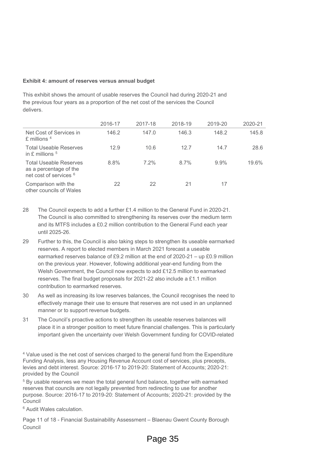#### **Exhibit 4: amount of reserves versus annual budget**

This exhibit shows the amount of usable reserves the Council had during 2020-21 and the previous four years as a proportion of the net cost of the services the Council delivers.

|                                                                                              | 2016-17 | 2017-18 | 2018-19 | 2019-20 | 2020-21 |
|----------------------------------------------------------------------------------------------|---------|---------|---------|---------|---------|
| Net Cost of Services in<br>£ millions $4$                                                    | 146.2   | 147.0   | 146.3   | 148.2   | 145.8   |
| <b>Total Useable Reserves</b><br>in $E$ millions $5$                                         | 12.9    | 10.6    | 12.7    | 14.7    | 28.6    |
| <b>Total Useable Reserves</b><br>as a percentage of the<br>net cost of services <sup>6</sup> | 8.8%    | $7.2\%$ | 8.7%    | $9.9\%$ | 19.6%   |
| Comparison with the<br>other councils of Wales                                               | 22      | 22      | 21      | 17      |         |

- 28 The Council expects to add a further £1.4 million to the General Fund in 2020-21. The Council is also committed to strengthening its reserves over the medium term and its MTFS includes a £0.2 million contribution to the General Fund each year until 2025-26.
- 29 Further to this, the Council is also taking steps to strengthen its useable earmarked reserves. A report to elected members in March 2021 forecast a useable earmarked reserves balance of £9.2 million at the end of 2020-21 – up £0.9 million on the previous year. However, following additional year-end funding from the Welsh Government, the Council now expects to add £12.5 million to earmarked reserves. The final budget proposals for 2021-22 also include a £1.1 million contribution to earmarked reserves.
- 30 As well as increasing its low reserves balances, the Council recognises the need to effectively manage their use to ensure that reserves are not used in an unplanned manner or to support revenue budgets.
- 31 The Council's proactive actions to strengthen its useable reserves balances will place it in a stronger position to meet future financial challenges. This is particularly important given the uncertainty over Welsh Government funding for COVID-related

<span id="page-10-0"></span><sup>4</sup> Value used is the net cost of services charged to the general fund from the Expenditure Funding Analysis, less any Housing Revenue Account cost of services, plus precepts, levies and debt interest. Source: 2016-17 to 2019-20: Statement of Accounts; 2020-21: provided by the Council

<span id="page-10-1"></span><sup>5</sup> By usable reserves we mean the total general fund balance, together with earmarked reserves that councils are not legally prevented from redirecting to use for another purpose. Source: 2016-17 to 2019-20: Statement of Accounts; 2020-21: provided by the Council

<span id="page-10-2"></span><sup>6</sup> Audit Wales calculation.

Page 11 of 18 - Financial Sustainability Assessment – Blaenau Gwent County Borough Council

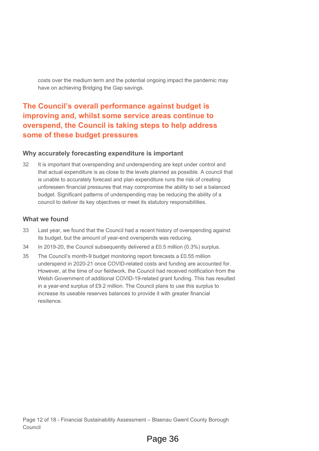costs over the medium term and the potential ongoing impact the pandemic may have on achieving Bridging the Gap savings.

### **The Council's overall performance against budget is improving and, whilst some service areas continue to overspend, the Council is taking steps to help address some of these budget pressures**

#### **Why accurately forecasting expenditure is important**

32 It is important that overspending and underspending are kept under control and that actual expenditure is as close to the levels planned as possible. A council that is unable to accurately forecast and plan expenditure runs the risk of creating unforeseen financial pressures that may compromise the ability to set a balanced budget. Significant patterns of underspending may be reducing the ability of a council to deliver its key objectives or meet its statutory responsibilities.

#### **What we found**

- 33 Last year, we found that the Council had a recent history of overspending against its budget, but the amount of year-end overspends was reducing.
- 34 In 2019-20, the Council subsequently delivered a £0.5 million (0.3%) surplus.
- 35 The Council's month-9 budget monitoring report forecasts a £0.55 million underspend in 2020-21 once COVID-related costs and funding are accounted for. However, at the time of our fieldwork, the Council had received notification from the Welsh Government of additional COVID-19-related grant funding. This has resulted in a year-end surplus of £9.2 million. The Council plans to use this surplus to increase its useable reserves balances to provide it with greater financial resilience.

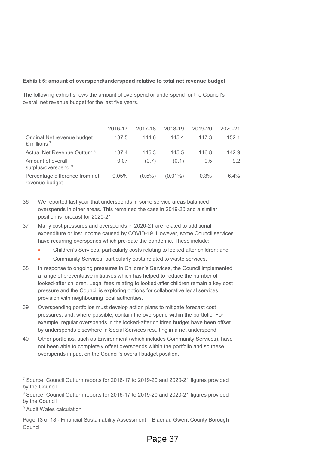#### **Exhibit 5: amount of overspend/underspend relative to total net revenue budget**

The following exhibit shows the amount of overspend or underspend for the Council's overall net revenue budget for the last five years.

|                                                          | 2016-17 | 2017-18   | 2018-19    | 2019-20 | 2020-21 |
|----------------------------------------------------------|---------|-----------|------------|---------|---------|
| Original Net revenue budget<br>$£$ millions <sup>7</sup> | 137.5   | 144.6     | 145.4      | 147.3   | 152.1   |
| Actual Net Revenue Outturn <sup>8</sup>                  | 137.4   | 145.3     | 145.5      | 146.8   | 142.9   |
| Amount of overall<br>surplus/overspend 9                 | 0.07    | (0.7)     | (0.1)      | 0.5     | 9.2     |
| Percentage difference from net<br>revenue budget         | 0.05%   | $(0.5\%)$ | $(0.01\%)$ | 0.3%    | 6.4%    |

- 36 We reported last year that underspends in some service areas balanced overspends in other areas. This remained the case in 2019-20 and a similar position is forecast for 2020-21.
- 37 Many cost pressures and overspends in 2020-21 are related to additional expenditure or lost income caused by COVID-19. However, some Council services have recurring overspends which pre-date the pandemic. These include:
	- Children's Services, particularly costs relating to looked after children; and
	- Community Services, particularly costs related to waste services.
- 38 In response to ongoing pressures in Children's Services, the Council implemented a range of preventative initiatives which has helped to reduce the number of looked-after children. Legal fees relating to looked-after children remain a key cost pressure and the Council is exploring options for collaborative legal services provision with neighbouring local authorities.
- 39 Overspending portfolios must develop action plans to mitigate forecast cost pressures, and, where possible, contain the overspend within the portfolio. For example, regular overspends in the looked-after children budget have been offset by underspends elsewhere in Social Services resulting in a net underspend.
- 40 Other portfolios, such as Environment (which includes Community Services), have not been able to completely offset overspends within the portfolio and so these overspends impact on the Council's overall budget position.

<span id="page-12-0"></span><sup>7</sup> Source: Council Outturn reports for 2016-17 to 2019-20 and 2020-21 figures provided by the Council

<span id="page-12-1"></span><sup>8</sup> Source: Council Outturn reports for 2016-17 to 2019-20 and 2020-21 figures provided by the Council

<span id="page-12-2"></span><sup>9</sup> Audit Wales calculation

Page 13 of 18 - Financial Sustainability Assessment – Blaenau Gwent County Borough Council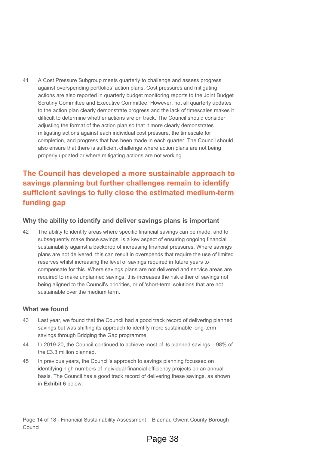41 A Cost Pressure Subgroup meets quarterly to challenge and assess progress against overspending portfolios' action plans. Cost pressures and mitigating actions are also reported in quarterly budget monitoring reports to the Joint Budget Scrutiny Committee and Executive Committee. However, not all quarterly updates to the action plan clearly demonstrate progress and the lack of timescales makes it difficult to determine whether actions are on track. The Council should consider adjusting the format of the action plan so that it more clearly demonstrates mitigating actions against each individual cost pressure, the timescale for completion, and progress that has been made in each quarter. The Council should also ensure that there is sufficient challenge where action plans are not being properly updated or where mitigating actions are not working.

### **The Council has developed a more sustainable approach to savings planning but further challenges remain to identify sufficient savings to fully close the estimated medium-term funding gap**

#### **Why the ability to identify and deliver savings plans is important**

42 The ability to identify areas where specific financial savings can be made, and to subsequently make those savings, is a key aspect of ensuring ongoing financial sustainability against a backdrop of increasing financial pressures. Where savings plans are not delivered, this can result in overspends that require the use of limited reserves whilst increasing the level of savings required in future years to compensate for this. Where savings plans are not delivered and service areas are required to make unplanned savings, this increases the risk either of savings not being aligned to the Council's priorities, or of 'short-term' solutions that are not sustainable over the medium term.

#### **What we found**

- 43 Last year, we found that the Council had a good track record of delivering planned savings but was shifting its approach to identify more sustainable long-term savings through Bridging the Gap programme.
- 44 In 2019-20, the Council continued to achieve most of its planned savings 98% of the £3.3 million planned.
- 45 In previous years, the Council's approach to savings planning focussed on identifying high numbers of individual financial efficiency projects on an annual basis. The Council has a good track record of delivering these savings, as shown in **Exhibit 6** below.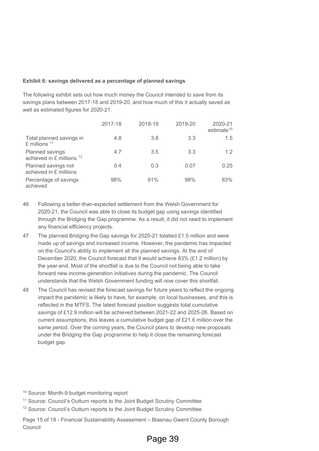#### **Exhibit 6: savings delivered as a percentage of planned savings**

The following exhibit sets out how much money the Council intended to save from its savings plans between 2017-18 and 2019-20, and how much of this it actually saved as well as estimated figures for 2020-21.

|                                                  | 2017-18 | 2018-19 | 2019-20 | 2020-21<br>estimate <sup>10</sup> |
|--------------------------------------------------|---------|---------|---------|-----------------------------------|
| Total planned savings in<br>$£$ millions $11$    | 4.8     | 3.8     | 3.3     | 1.5                               |
| Planned savings<br>achieved in $E$ millions $12$ | 4.7     | 3.5     | 3.3     | 1.2                               |
| Planned savings not<br>achieved in £ millions    | 0.4     | 0.3     | 0.07    | 0.25                              |
| Percentage of savings<br>achieved                | 98%     | 91%     | 98%     | 83%                               |

- 46 Following a better-than-expected settlement from the Welsh Government for 2020-21, the Council was able to close its budget gap using savings identified through the Bridging the Gap programme. As a result, it did not need to implement any financial efficiency projects.
- 47 The planned Bridging the Gap savings for 2020-21 totalled £1.5 million and were made up of savings and increased income. However, the pandemic has impacted on the Council's ability to implement all the planned savings. At the end of December 2020, the Council forecast that it would achieve 83% (£1.2 million) by the year-end. Most of the shortfall is due to the Council not being able to take forward new income generation initiatives during the pandemic. The Council understands that the Welsh Government funding will now cover this shortfall.
- 48 The Council has revised the forecast savings for future years to reflect the ongoing impact the pandemic is likely to have, for example, on local businesses, and this is reflected in the MTFS. The latest forecast position suggests total cumulative savings of £12.9 million will be achieved between 2021-22 and 2025-26. Based on current assumptions, this leaves a cumulative budget gap of £21.6 million over the same period. Over the coming years, the Council plans to develop new proposals under the Bridging the Gap programme to help it close the remaining forecast budget gap.
- <span id="page-14-0"></span><sup>10</sup> Source: Month-9 budget monitoring report
- <span id="page-14-1"></span><sup>11</sup> Source: Council's Outturn reports to the Joint Budget Scrutiny Committee
- <span id="page-14-2"></span><sup>12</sup> Source: Council's Outturn reports to the Joint Budget Scrutiny Committee
- Page 15 of 18 Financial Sustainability Assessment Blaenau Gwent County Borough Council

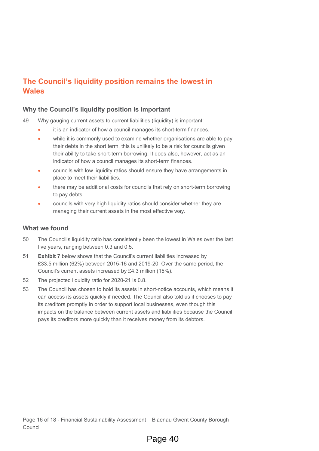### **The Council's liquidity position remains the lowest in Wales**

#### **Why the Council's liquidity position is important**

49 Why gauging current assets to current liabilities (liquidity) is important:

- it is an indicator of how a council manages its short-term finances.
- while it is commonly used to examine whether organisations are able to pay their debts in the short term, this is unlikely to be a risk for councils given their ability to take short-term borrowing. It does also, however, act as an indicator of how a council manages its short-term finances.
- councils with low liquidity ratios should ensure they have arrangements in place to meet their liabilities.
- there may be additional costs for councils that rely on short-term borrowing to pay debts.
- councils with very high liquidity ratios should consider whether they are managing their current assets in the most effective way.

#### **What we found**

- 50 The Council's liquidity ratio has consistently been the lowest in Wales over the last five years, ranging between 0.3 and 0.5.
- 51 **Exhibit 7** below shows that the Council's current liabilities increased by £33.5 million (62%) between 2015-16 and 2019-20. Over the same period, the Council's current assets increased by £4.3 million (15%).
- 52 The projected liquidity ratio for 2020-21 is 0.8.
- 53 The Council has chosen to hold its assets in short-notice accounts, which means it can access its assets quickly if needed. The Council also told us it chooses to pay its creditors promptly in order to support local businesses, even though this impacts on the balance between current assets and liabilities because the Council pays its creditors more quickly than it receives money from its debtors.

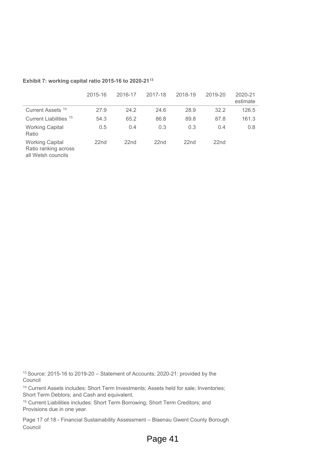|                                                                      | 2015-16          | 2016-17          | 2017-18          | 2018-19          | 2019-20          | 2020-21<br>estimate |
|----------------------------------------------------------------------|------------------|------------------|------------------|------------------|------------------|---------------------|
| Current Assets <sup>14</sup>                                         | 27.9             | 24.2             | 24.6             | 28.9             | 32.2             | 126.5               |
| Current Liabilities <sup>15</sup>                                    | 54.3             | 65.2             | 86.8             | 89.8             | 87.8             | 161.3               |
| <b>Working Capital</b><br>Ratio                                      | 0.5              | 0.4              | 0.3              | 0.3              | 0.4              | 0.8                 |
| <b>Working Capital</b><br>Ratio ranking across<br>all Welsh councils | 22 <sub>nd</sub> | 22 <sub>nd</sub> | 22 <sub>nd</sub> | 22 <sub>nd</sub> | 22 <sub>nd</sub> |                     |

#### **Exhibit 7: working capital ratio 2015-16 to 2020-21[13](#page-16-0)**

<span id="page-16-0"></span><sup>13</sup> Source: 2015-16 to 2019-20 – Statement of Accounts; 2020-21: provided by the Council

<span id="page-16-1"></span><sup>14</sup> Current Assets includes: Short Term Investments; Assets held for sale; Inventories; Short Term Debtors; and Cash and equivalent.

<span id="page-16-2"></span><sup>15</sup> Current Liabilities includes: Short Term Borrowing; Short Term Creditors; and Provisions due in one year.

Page 17 of 18 - Financial Sustainability Assessment – Blaenau Gwent County Borough Council